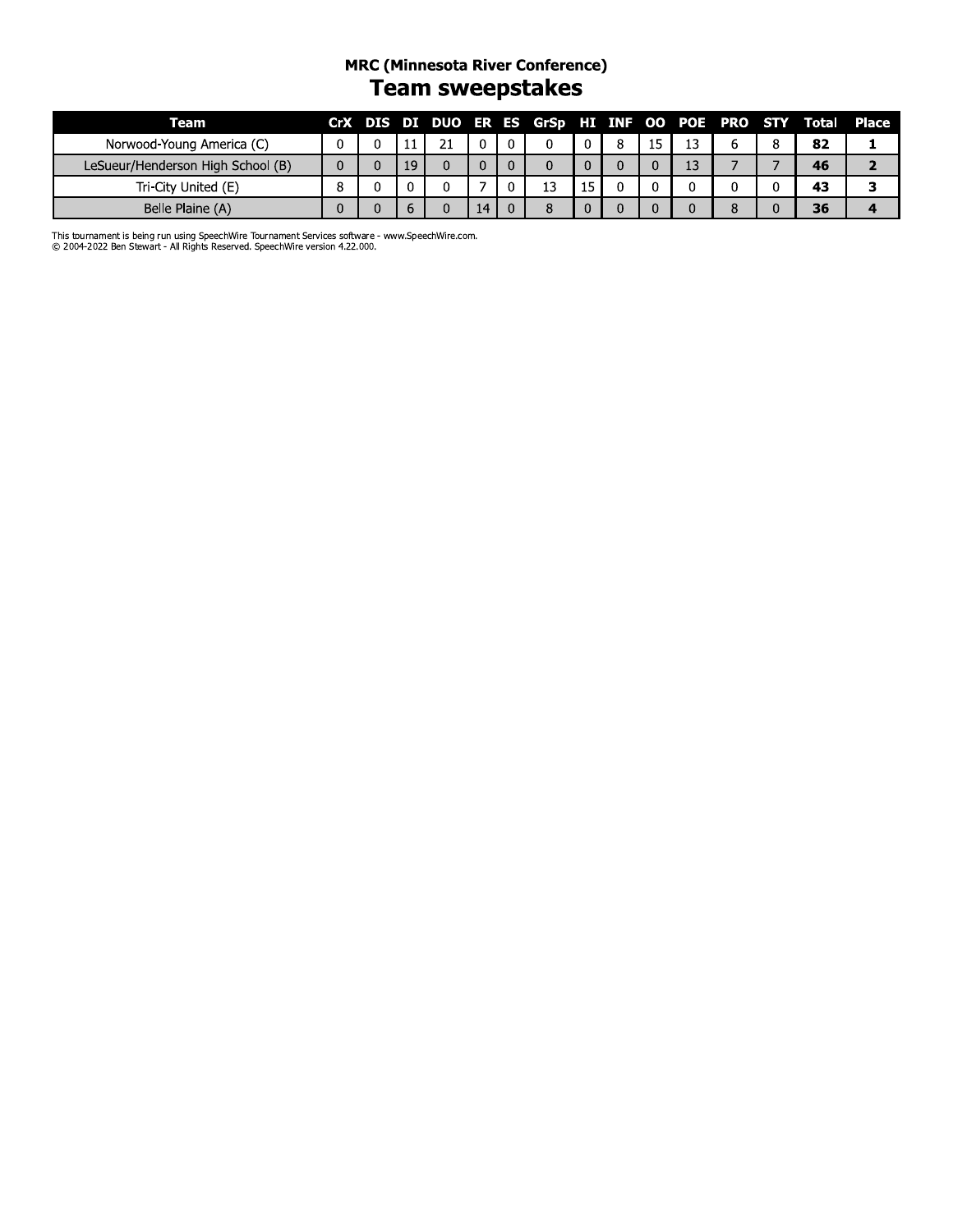#### **MRC (Minnesota River Conference)** Team sweepstakes

| Team                              |  |    |     |              |    |   |    |   | CrX DIS DI DUO ER ES GrSp HI INF OO POE PRO STY Total Place |  |
|-----------------------------------|--|----|-----|--------------|----|---|----|---|-------------------------------------------------------------|--|
| Norwood-Young America (C)         |  |    | ว 1 |              | 0  | 8 | 13 | b | 82                                                          |  |
| LeSueur/Henderson High School (B) |  | 19 |     | $\mathbf{0}$ |    |   | 13 |   | 46                                                          |  |
| Tri-City United (E)               |  |    |     |              | 13 |   |    | 0 | 43                                                          |  |
| Belle Plaine (A)                  |  |    |     | 14           |    |   |    | 8 | 36                                                          |  |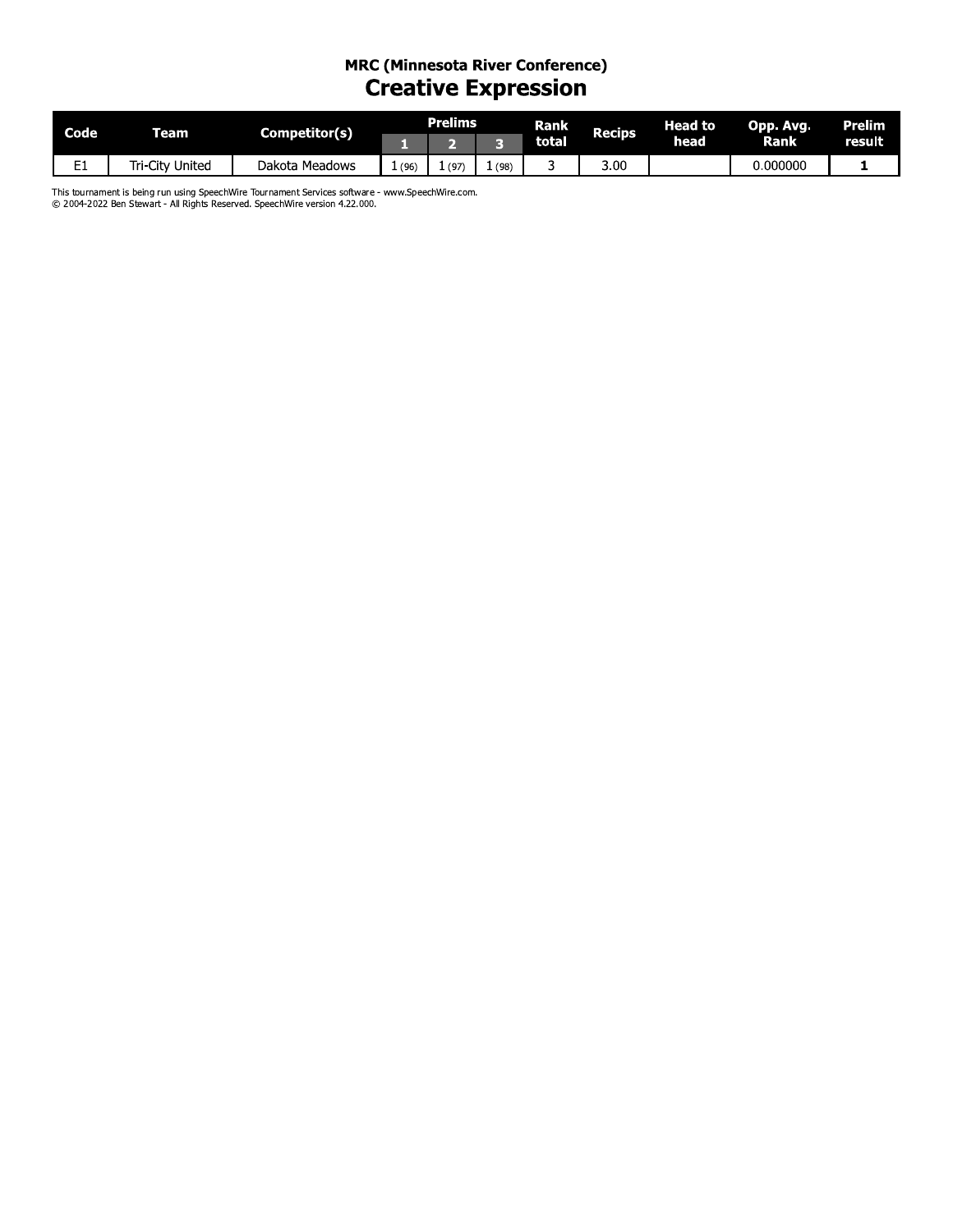# MRC (Minnesota River Conference)<br>Creative Expression

| <b>Code</b>      | Team        | Competitor(s)     |      | Prelims |      | Rank         | Recips | Head to | Opp. Avg. | <b>Prelim</b> |
|------------------|-------------|-------------------|------|---------|------|--------------|--------|---------|-----------|---------------|
|                  |             |                   |      |         |      | <b>total</b> |        | head    | Rank'     | result        |
| <u>r</u> .<br>-- | City United | Meadows<br>Dakota | (96) | (97)    | (98) |              | 3.00   |         | 0.000000  |               |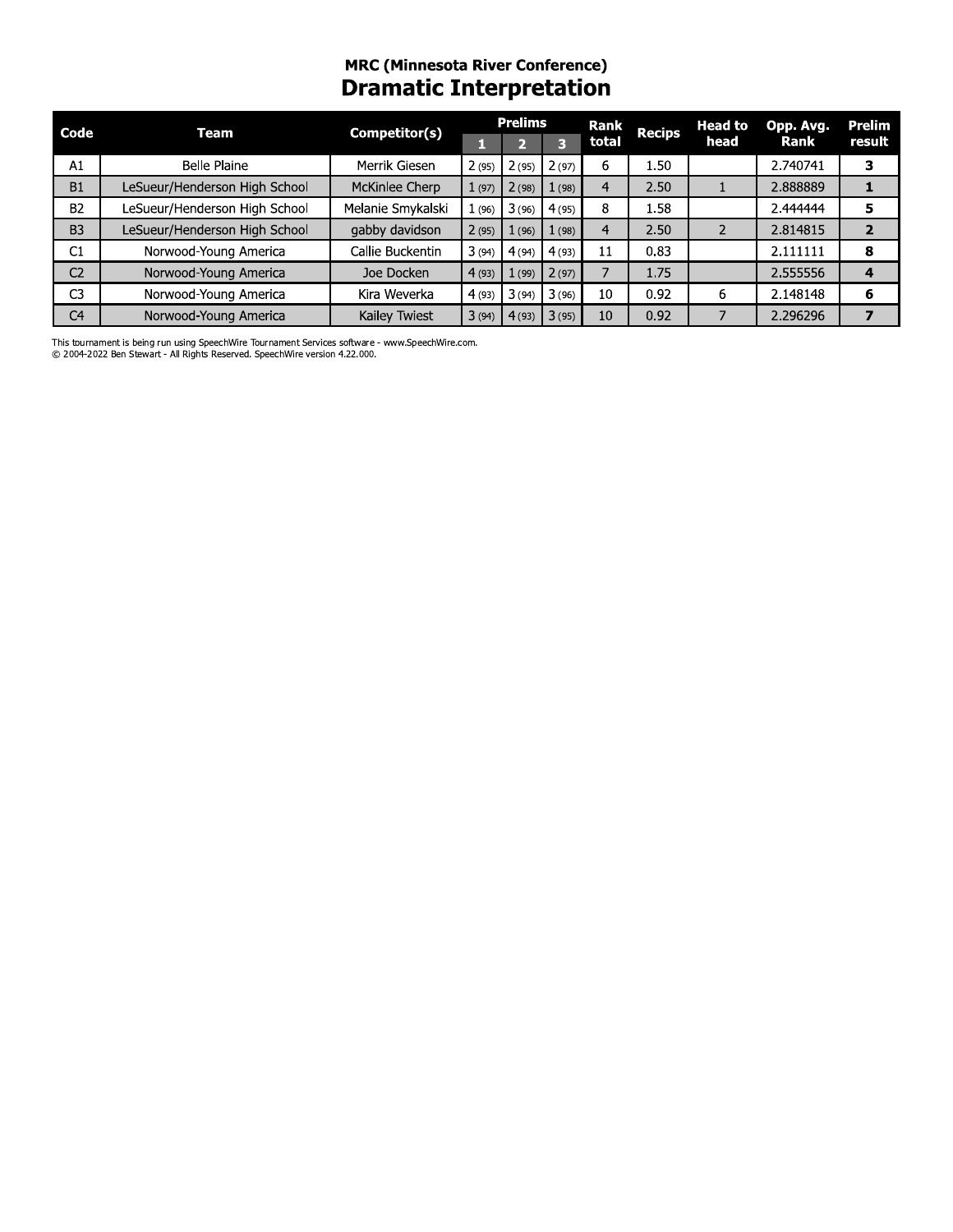## mrC (Minnesota River Conference) **Dramatic Interpretation**

| Code           | <b>Team</b>                   | Competitor(s)     |       | <b>Prelims</b> |       | Rank           | <b>Recips</b> | <b>Head to</b> | Opp. Avg. | Prelim         |
|----------------|-------------------------------|-------------------|-------|----------------|-------|----------------|---------------|----------------|-----------|----------------|
|                |                               |                   | п     | 2              | 3     | total          |               | head           | Rank      | result         |
| A1             | <b>Belle Plaine</b>           | Merrik Giesen     | 2(95) | 2(95)          | 2(97) | 6.             | 1.50          |                | 2.740741  | 3              |
| <b>B1</b>      | LeSueur/Henderson High School | McKinlee Cherp    | 1(97) | 2(98)          | 1(98) | $\overline{4}$ | 2.50          |                | 2.888889  | 1              |
| <b>B2</b>      | LeSueur/Henderson High School | Melanie Smykalski | 1(96) | 3(96)          | 4(95) | 8              | 1.58          |                | 2.444444  | 5              |
| B <sub>3</sub> | LeSueur/Henderson High School | gabby davidson    | 2(95) | 1(96)          | 1(98) | $\overline{4}$ | 2.50          | 2              | 2.814815  | $\overline{2}$ |
| C1             | Norwood-Young America         | Callie Buckentin  | 3(94) | 4(94)          | 4(93) | 11             | 0.83          |                | 2.111111  | 8              |
| C <sub>2</sub> | Norwood-Young America         | Joe Docken        | 4(93) | 1(99)          | 2(97) | $\overline{7}$ | 1.75          |                | 2.555556  | 4              |
| C <sub>3</sub> | Norwood-Young America         | Kira Weverka      | 4(93) | 3(94)          | 3(96) | 10             | 0.92          | 6              | 2.148148  | 6              |
| C <sub>4</sub> | Norwood-Young America         | Kailey Twiest     |       | 3(94) 4(93)    | 3(95) | 10             | 0.92          |                | 2.296296  | $\overline{ }$ |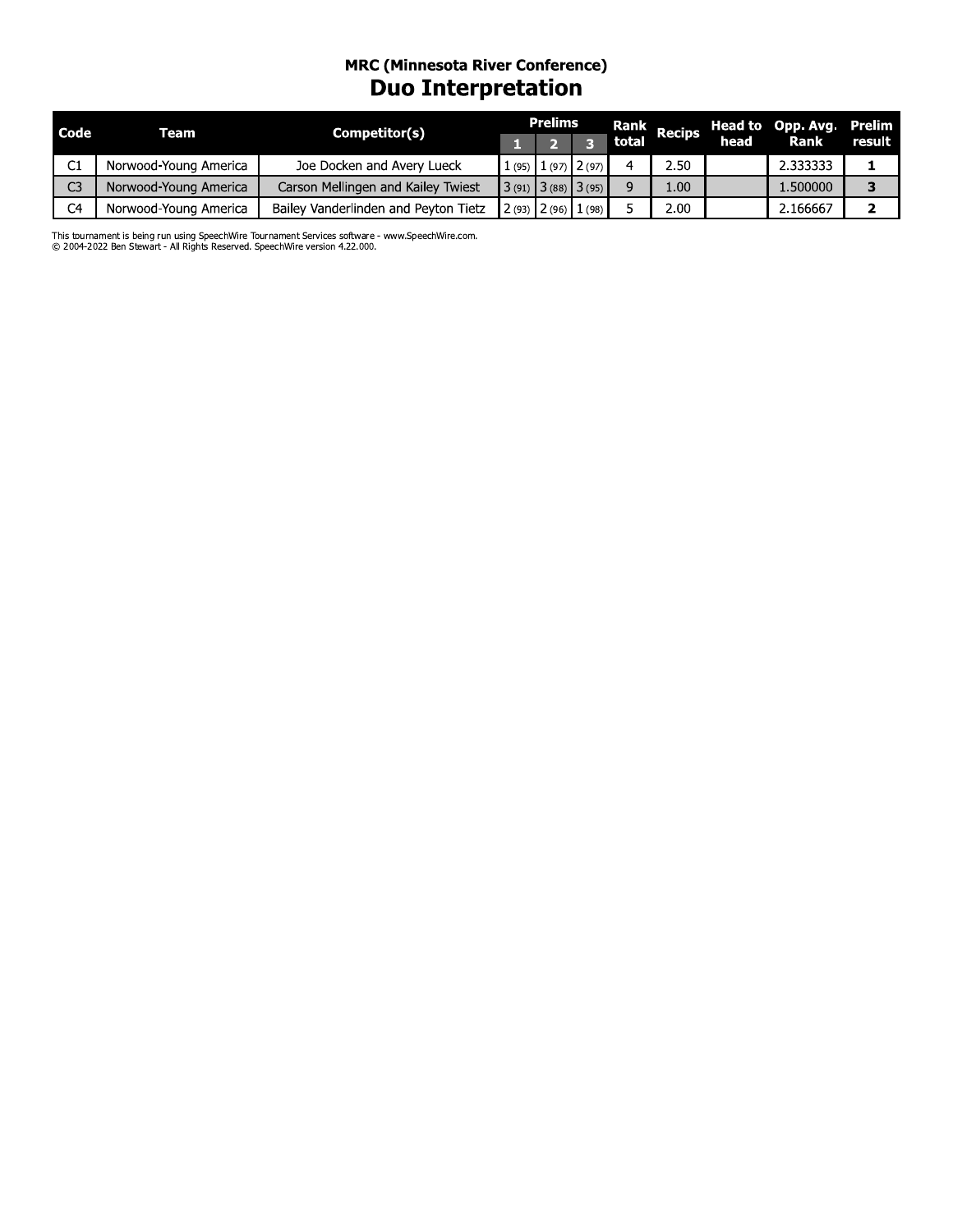### mrC (Minnesota River Conference) **Duo Interpretation**

| Code           | Team                  | Competitor(s)                        | <b>Prelims</b> |                         | Rank  | <b>Recips</b> | <b>Head to</b> | Opp. Avg.   | <b>Prelim</b> |
|----------------|-----------------------|--------------------------------------|----------------|-------------------------|-------|---------------|----------------|-------------|---------------|
|                |                       |                                      |                | E                       | total |               | head           | <b>Rank</b> | result        |
| C1             | Norwood-Young America | Joe Docken and Avery Lueck           |                | $1(95)$ $1(97)$ $2(97)$ | 4     | 2.50          |                | 2.333333    | ı             |
| C <sub>3</sub> | Norwood-Young America | Carson Mellingen and Kailey Twiest   |                | $3(91)$ $3(88)$ $3(95)$ | 9     | 1.00          |                | 1.500000    | 3             |
| C <sub>4</sub> | Norwood-Young America | Bailey Vanderlinden and Peyton Tietz |                | $2(93)$ $2(96)$ $1(98)$ | 5.    | 2.00          |                | 2.166667    | 2             |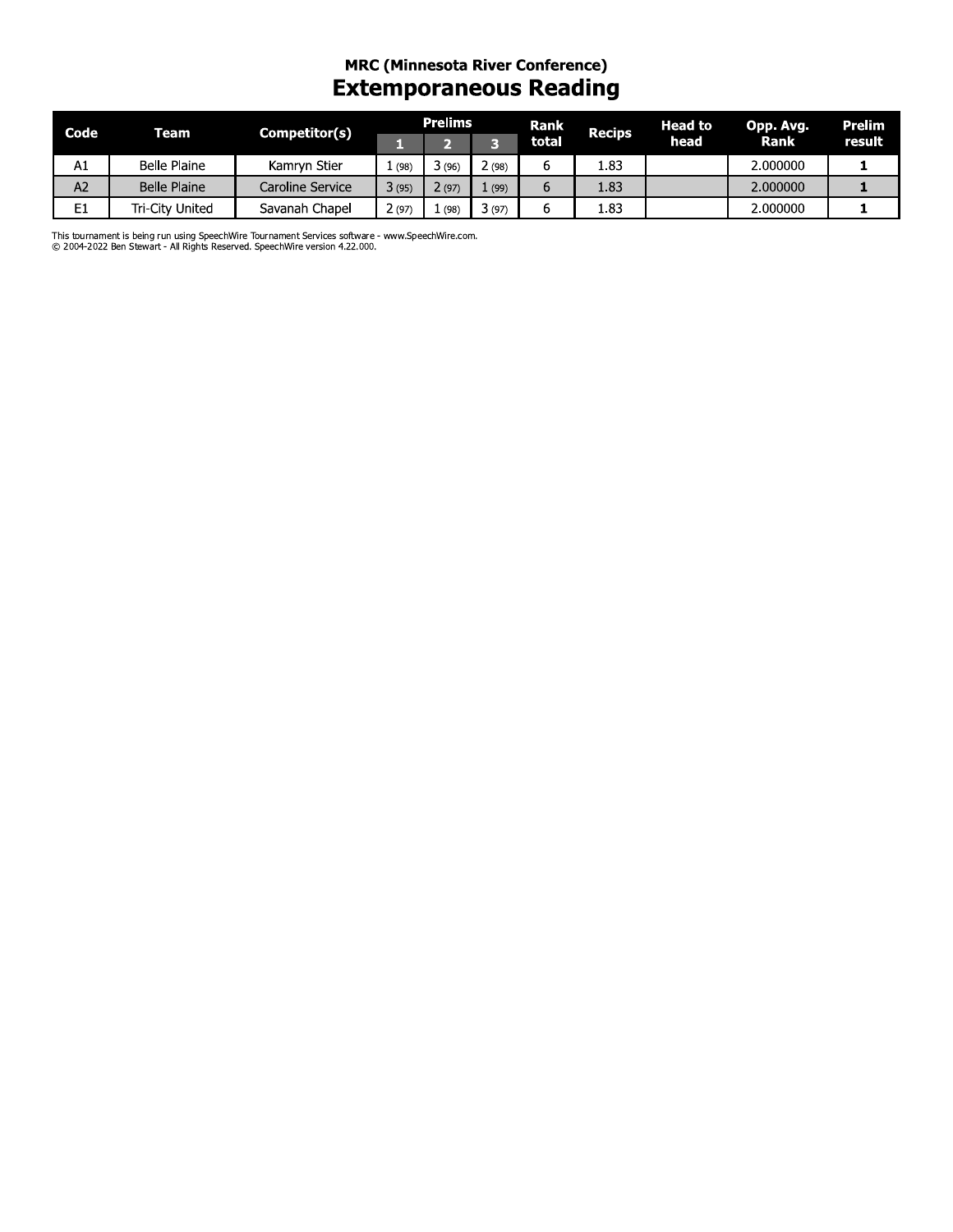## mrC (Minnesota River Conference) **Extemporaneous Reading**

| Code | Team            | Competitor(s)    |       | <b>Prelims</b> |       | <b>Rank</b> | <b>Recips</b> | Head to | Opp. Avg.   | Prelim |
|------|-----------------|------------------|-------|----------------|-------|-------------|---------------|---------|-------------|--------|
|      |                 |                  | r.    | $\overline{2}$ | 3     | total       |               | head    | <b>Rank</b> | result |
| A1   | Belle Plaine    | Kamryn Stier     | 1(98) | 3(96)          | 2(98) | 6           | 1.83          |         | 2.000000    |        |
| A2   | Belle Plaine    | Caroline Service | 3(95) | 2(97)          | 1(99) | 6           | 1.83          |         | 2.000000    |        |
| E1   | Tri-City United | Savanah Chapel   | 2(97) | 1(98)          | 3(97) | 6           | 1.83          |         | 2.000000    |        |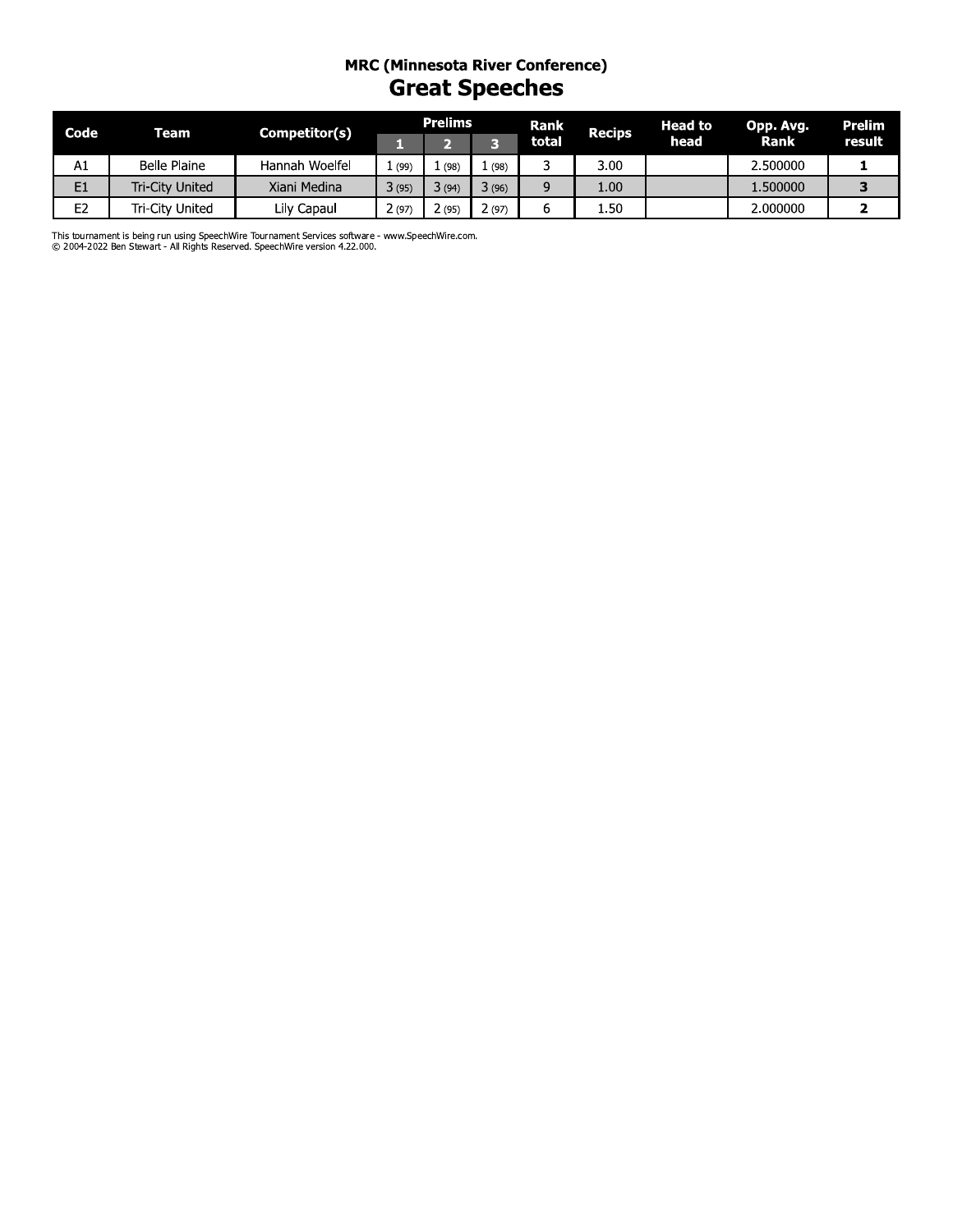#### mrC (Minnesota River Conference) **Great Speeches**

| Code | Team                   | Competitor(s)  |       | <b>Prelims</b>          |       | Rank  | <b>Recips</b> | <b>Head to</b> | Opp. Avg. | Prelim |
|------|------------------------|----------------|-------|-------------------------|-------|-------|---------------|----------------|-----------|--------|
|      |                        |                | . .   | $\overline{\mathbf{2}}$ | 3     | total |               | head           | Rank      | result |
| A1   | Belle Plaine           | Hannah Woelfel | 1(99) | 1(98)                   | 1(98) | 3     | 3.00          |                | 2.500000  |        |
| E1   | <b>Tri-City United</b> | Xiani Medina   | 3(95) | 3(94)                   | 3(96) | 9     | 1.00          |                | 1.500000  | 3      |
| E2   | Tri-City United        | Lily Capaul    | 2(97) | 2(95)                   | 2(97) | b     | 1.50          |                | 2.000000  | 2      |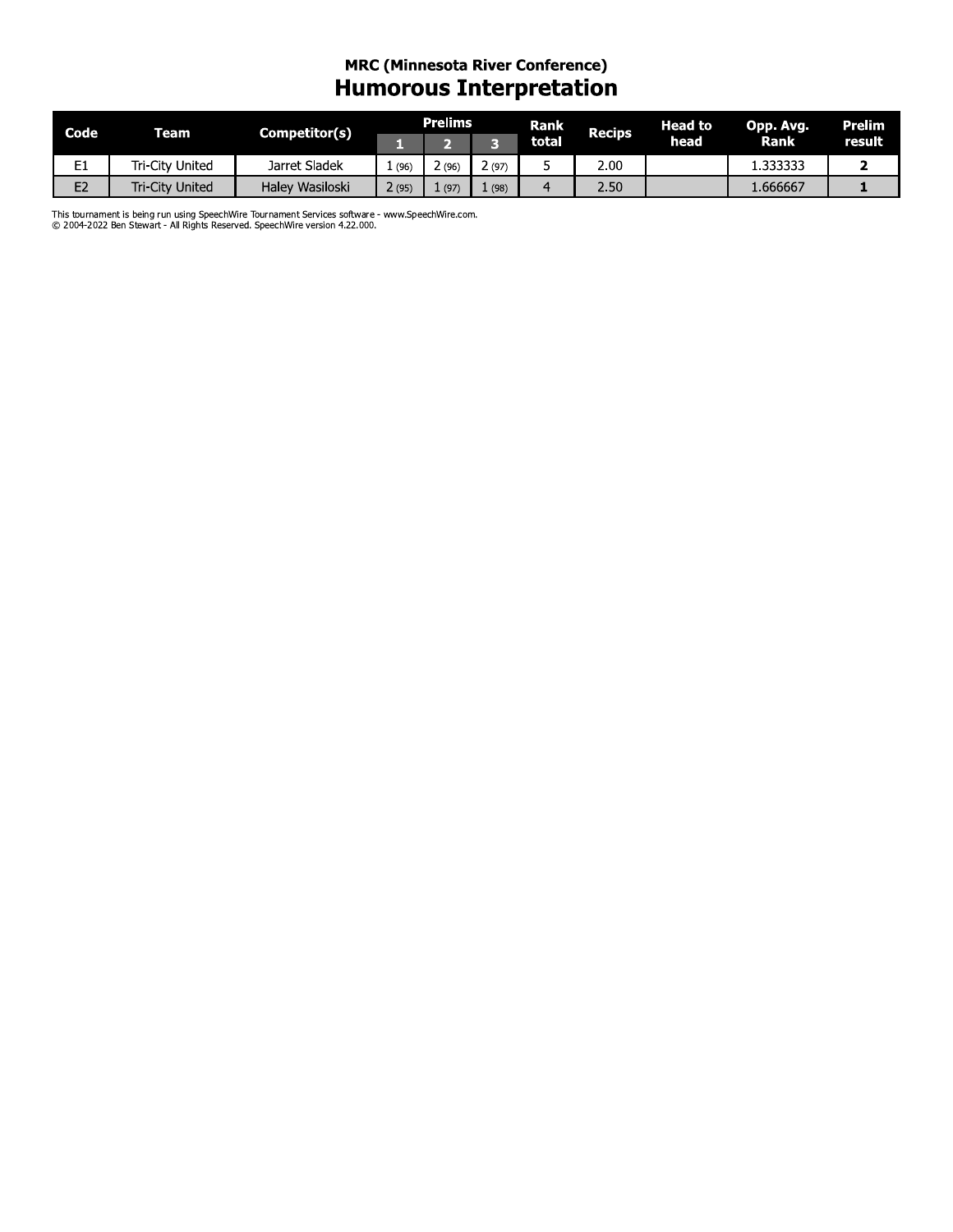#### **MRC (Minnesota River Conference) Humorous Interpretation**

| Code           | <b>Team</b>            | Competitor(s)   |       | <b>Prelims</b> |        | <b>Rank</b> | <b>Recips</b> | <b>Head to</b> | Opp. Avg. | <b>Prelim</b> |
|----------------|------------------------|-----------------|-------|----------------|--------|-------------|---------------|----------------|-----------|---------------|
|                |                        |                 |       |                |        | total       |               | head           | Rank      | result        |
| E.<br>노        | Tri-Citv United        | Jarret Sladek   | (96)  | 2 (96          | 2 (97) |             | 2.00          |                | 1.333333  |               |
| E <sub>2</sub> | <b>Tri-City United</b> | Haley Wasiloski | 2(95) | (97)           | (98)   |             | 2.50          |                | 1.666667  |               |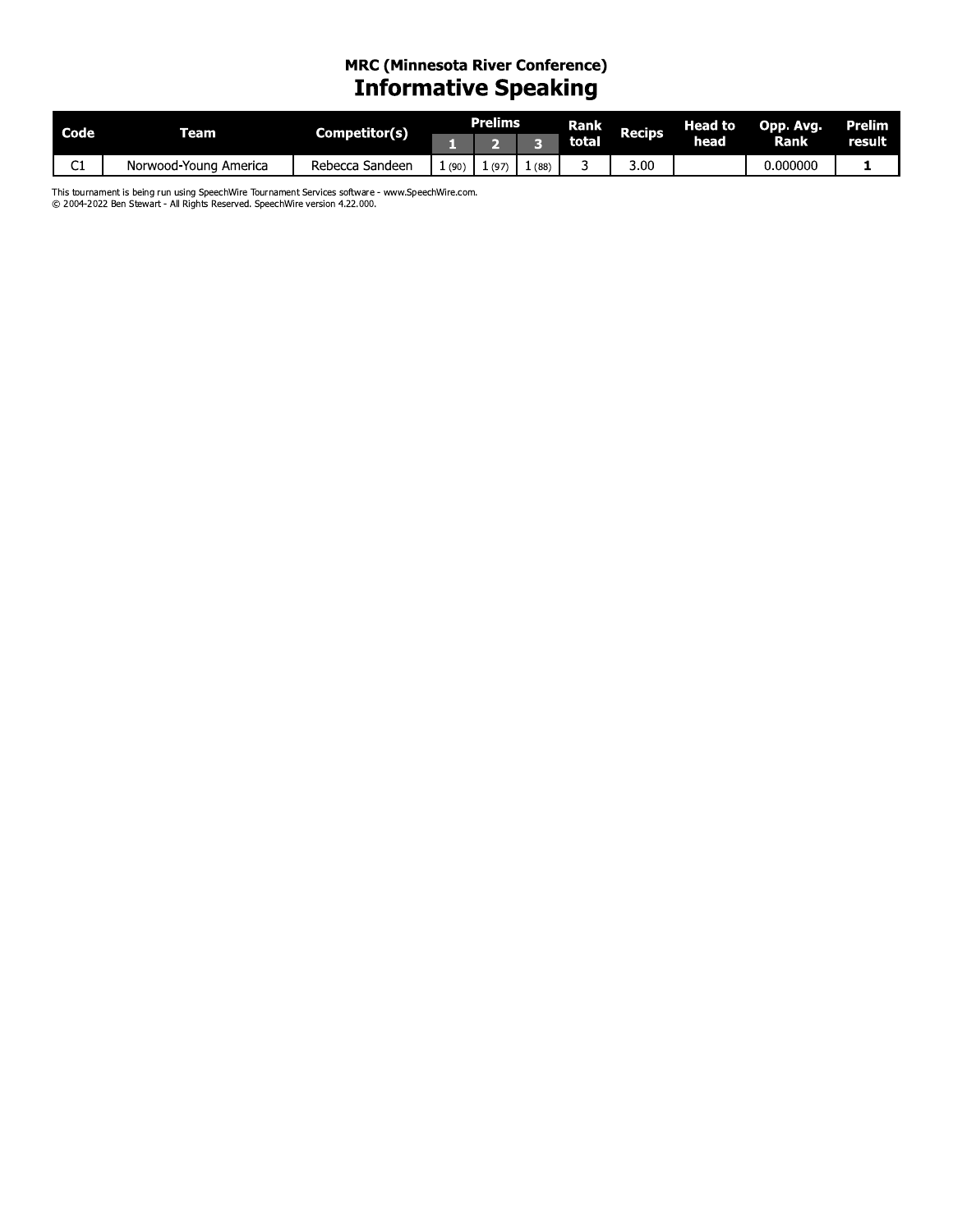# MRC (Minnesota River Conference)<br>Informative Speaking

| Code   | ream                     | Competitor(s)        |      | Prelims |      | Rank  | <b>Recips</b> | Head to | Opp. Avg. | Prelim |
|--------|--------------------------|----------------------|------|---------|------|-------|---------------|---------|-----------|--------|
|        |                          |                      |      |         |      | total |               | head    | Rank l    | result |
| ~<br>ີ | Norwood-Young<br>America | Sandeen د<br>Rebecca | (90) | (97)    | (88) |       | 3.00          |         | 0.000000  |        |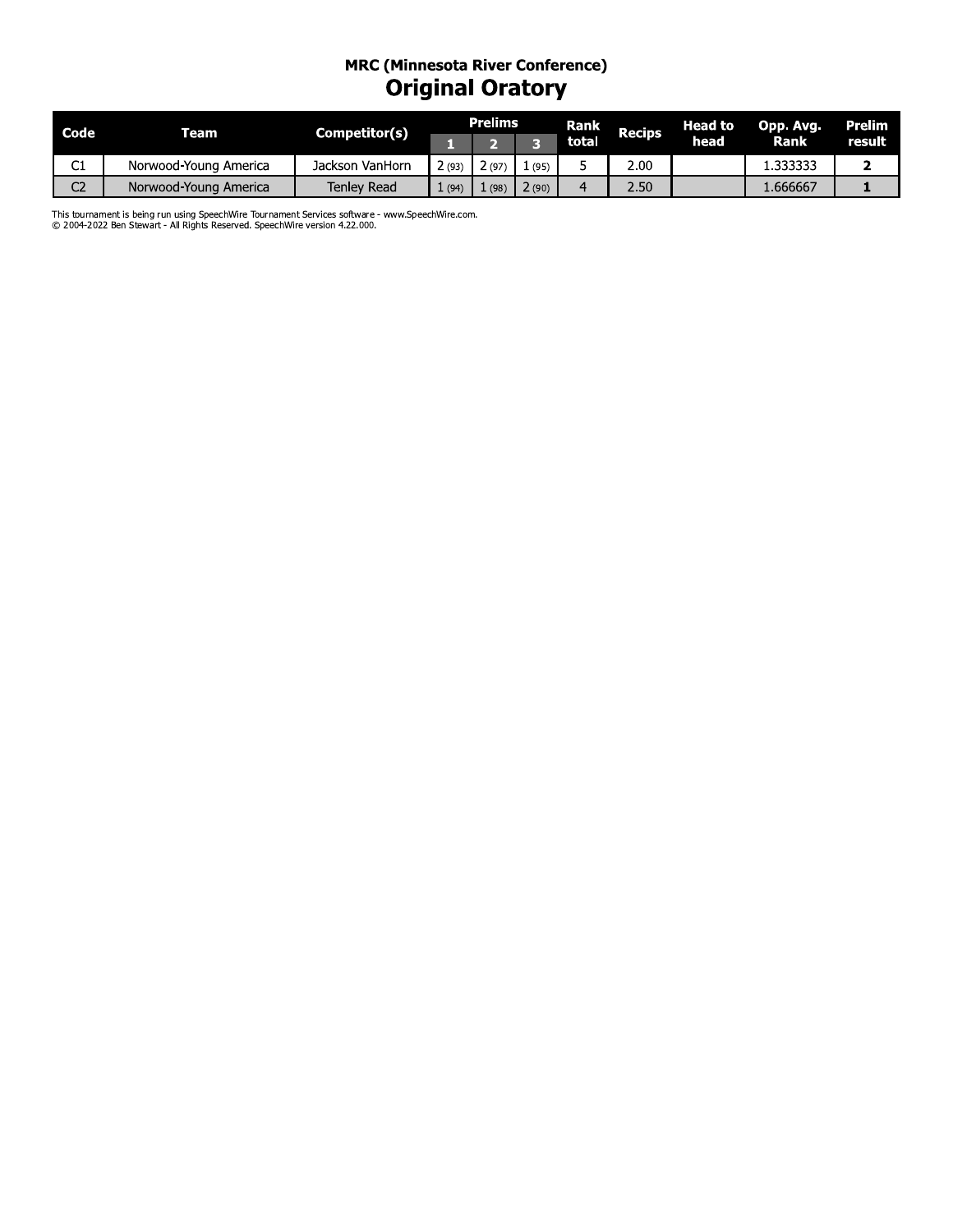### mrC (Minnesota River Conference) Original Oratory

| Code           | Team                                                                                             | Competitor(s)   |       | <b>Prelims</b> |       | Rank           | <b>Recips</b> | <b>Head to</b> | Opp. Avg. | <b>Prelim</b> |
|----------------|--------------------------------------------------------------------------------------------------|-----------------|-------|----------------|-------|----------------|---------------|----------------|-----------|---------------|
|                |                                                                                                  |                 | н,    | $\overline{2}$ | 3     | total          |               | head           | Rank      | result        |
| C1             | Norwood-Young America                                                                            | Jackson VanHorn | 2(93) | 2(97)          | 1(95) | 5              | 2.00          |                | 1.333333  | $\mathbf{2}$  |
| C <sub>2</sub> | Norwood-Young America                                                                            | Tenley Read     | 1(94) | 1(98)          | 2(90) | $\overline{4}$ | 2.50          |                | 1.666667  | ı             |
|                | This tournament is being run using SpeechWire Tournament Services software - www.SpeechWire.com. |                 |       |                |       |                |               |                |           |               |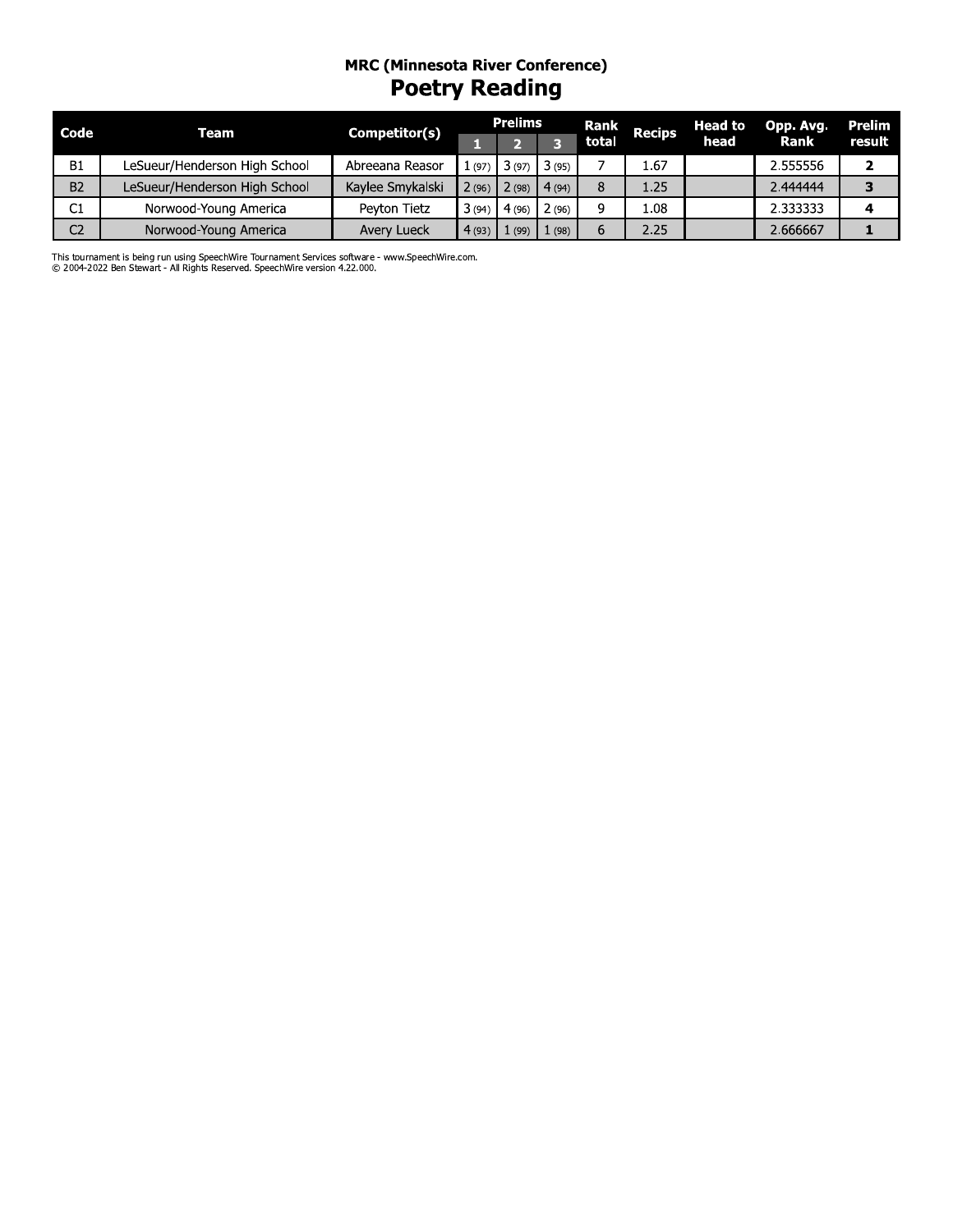## MRC (Minnesota River Conference)<br> **Poetry Reading**

| Code           | Team                          | Competitor(s)    |       | <b>Prelims</b> |       | <b>Rank</b> | <b>Recips</b> | <b>Head to</b> | Opp. Avg. | Prelim |
|----------------|-------------------------------|------------------|-------|----------------|-------|-------------|---------------|----------------|-----------|--------|
|                |                               |                  |       |                |       | total       |               | head           | Rank      | result |
| <b>B1</b>      | LeSueur/Henderson High School | Abreeana Reasor  | (97)  | 13(97)         | 3(95) |             | 1.67          |                | 2.555556  |        |
| B <sub>2</sub> | LeSueur/Henderson High School | Kaylee Smykalski | 2(96) | 2(98)          | 4(94) |             | 1.25          |                | 2.444444  |        |
| C1             | Norwood-Young America         | Peyton Tietz     | 3(94) | 4(96)          | 2(96) |             | 1.08          |                | 2.333333  |        |
| C <sub>2</sub> | Norwood-Young America         | Avery Lueck      | 4(93) |                | (98)  | 6           | 2.25          |                | 2.666667  |        |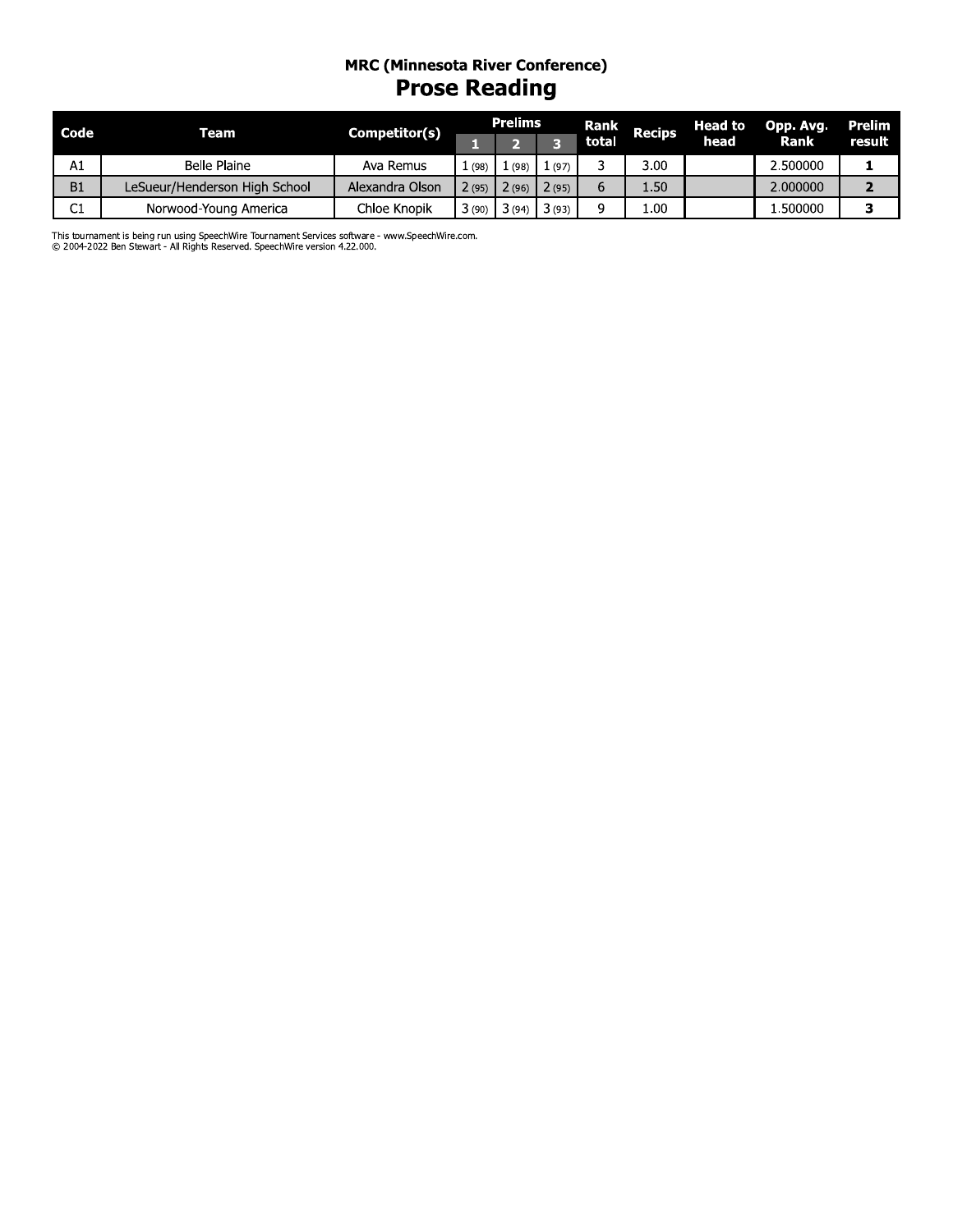# MRC (Minnesota River Conference)<br>Prose Reading

| Code | Team                          | Competitor(s)   |       | <b>Prelims</b> |        | Rank  | <b>Recips</b> | <b>Head to</b> | Opp. Avg. | Prelim |
|------|-------------------------------|-----------------|-------|----------------|--------|-------|---------------|----------------|-----------|--------|
|      |                               |                 |       |                |        | total |               | head           | Rank      | result |
| A1   | Belle Plaine                  | Ava Remus       | (98)  | (98)           | L (97) |       | 3.00          |                | 2.500000  |        |
| B1   | LeSueur/Henderson High School | Alexandra Olson | 2(95) | 2(96)          | 2(95)  |       | $4.50^{+}$    |                | 2.000000  |        |
| C1   | Norwood-Young America         | Chloe Knopik    | 3(90) | } (94`         | 3(93)  |       | .00           |                | .500000   |        |